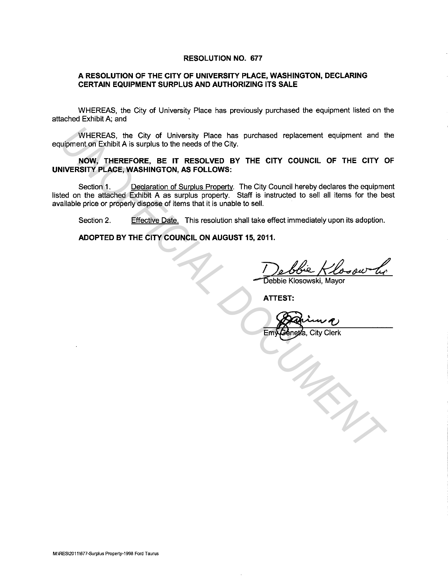## **RESOLUTION NO. 677**

## **A RESOLUTION OF THE CITY OF UNIVERSITY PLACE, WASHINGTON, DECLARING CERTAIN EQUIPMENT SURPLUS AND AUTHORIZING ITS SALE**

WHEREAS, the City of University Place has previously purchased the equipment listed on the attached Exhibit A; and

WHEREAS, the City of University Place has purchased replacement equipment and the equipment on Exhibit A is surplus to the needs of the City.

**NOW, THEREFORE, BE IT RESOLVED BY THE CITY COUNCIL OF THE CITY OF UNIVERSITY PLACE, WASHINGTON, AS FOLLOWS:** 

Section 1. Declaration of Surplus Property. The City Council hereby declares the equipment listed on the attached Exhibit A as surplus property. Staff is instructed to sell all items for the best available price or properly dispose of items that it is unable to sell. WHEREAS, the City of University Place has purchased replacement equipment and the<br>interior Exhibit A is surplus to the needs of the City.<br> **NOW, THEREAS, BE IT RESOLVED BY** THE CITY COUNCIL OF THE CITY (<br>
UNCERSITY PLACE,

Section 2. Effective Date. This resolution shall take effect immediately upon its adoption.

**ADOPTED BY THE CITY COUNCIL ON AUGUST 15, 2011.** 

Debbie Klosow hr

**ATTEST:** 

Clerk